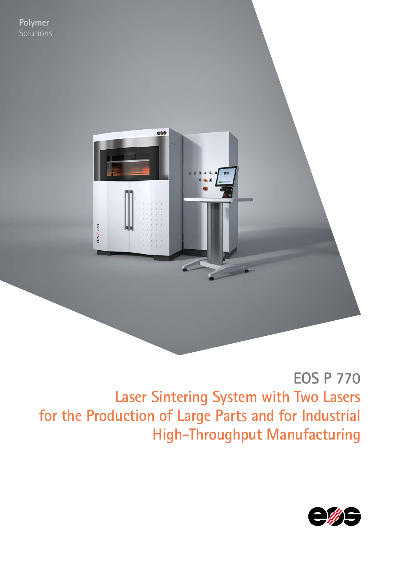

# **EOS P 770 Laser Sintering System with Two Lasers for the Production of Large Parts and for Industrial High-Throughput Manufacturing**